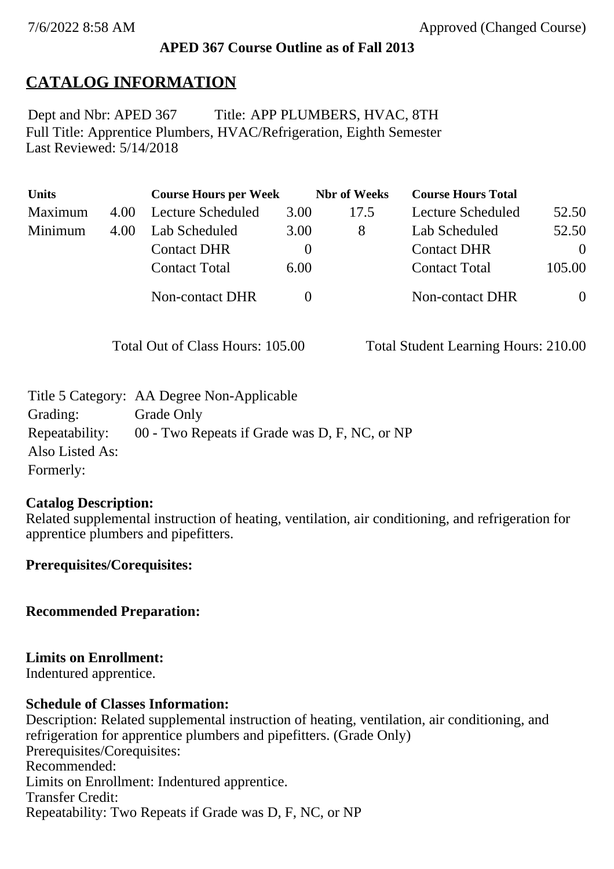### **APED 367 Course Outline as of Fall 2013**

## **CATALOG INFORMATION**

Full Title: Apprentice Plumbers, HVAC/Refrigeration, Eighth Semester Last Reviewed: 5/14/2018 Dept and Nbr: APED 367 Title: APP PLUMBERS, HVAC, 8TH

| <b>Units</b> |      | <b>Course Hours per Week</b> |          | <b>Nbr</b> of Weeks | <b>Course Hours Total</b> |          |
|--------------|------|------------------------------|----------|---------------------|---------------------------|----------|
| Maximum      | 4.00 | Lecture Scheduled            | 3.00     | 17.5                | Lecture Scheduled         | 52.50    |
| Minimum      | 4.00 | Lab Scheduled                | 3.00     | 8                   | Lab Scheduled             | 52.50    |
|              |      | <b>Contact DHR</b>           | $\theta$ |                     | <b>Contact DHR</b>        | $\Omega$ |
|              |      | <b>Contact Total</b>         | 6.00     |                     | <b>Contact Total</b>      | 105.00   |
|              |      | Non-contact DHR              |          |                     | <b>Non-contact DHR</b>    | $\theta$ |

Total Out of Class Hours: 105.00 Total Student Learning Hours: 210.00

|                 | Title 5 Category: AA Degree Non-Applicable    |
|-----------------|-----------------------------------------------|
| Grading:        | Grade Only                                    |
| Repeatability:  | 00 - Two Repeats if Grade was D, F, NC, or NP |
| Also Listed As: |                                               |
| Formerly:       |                                               |

### **Catalog Description:**

Related supplemental instruction of heating, ventilation, air conditioning, and refrigeration for apprentice plumbers and pipefitters.

**Prerequisites/Corequisites:**

**Recommended Preparation:**

### **Limits on Enrollment:**

Indentured apprentice.

#### **Schedule of Classes Information:**

Description: Related supplemental instruction of heating, ventilation, air conditioning, and refrigeration for apprentice plumbers and pipefitters. (Grade Only) Prerequisites/Corequisites: Recommended: Limits on Enrollment: Indentured apprentice. Transfer Credit: Repeatability: Two Repeats if Grade was D, F, NC, or NP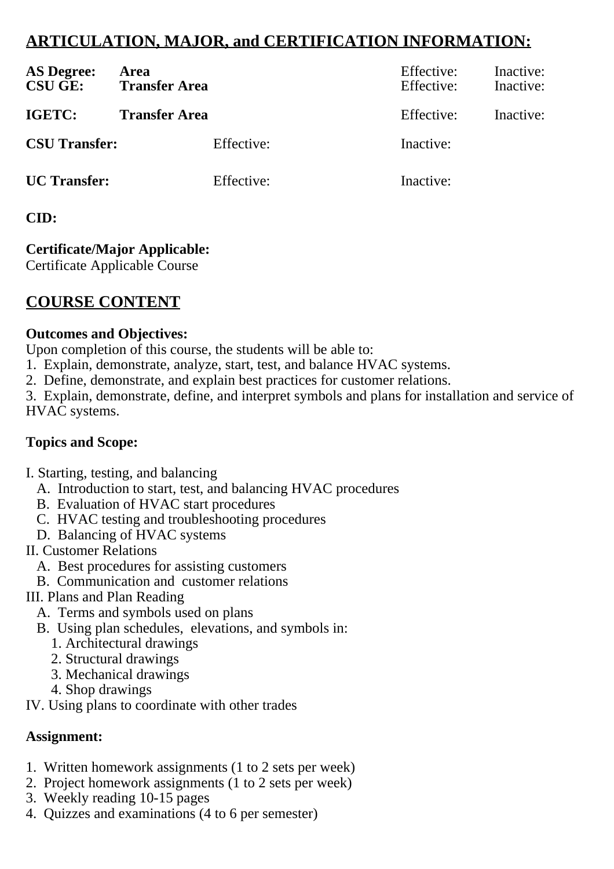# **ARTICULATION, MAJOR, and CERTIFICATION INFORMATION:**

| <b>AS Degree:</b><br><b>CSU GE:</b> | Area<br><b>Transfer Area</b> | Effective:<br>Effective: | Inactive:<br>Inactive: |
|-------------------------------------|------------------------------|--------------------------|------------------------|
| IGETC:                              | <b>Transfer Area</b>         | Effective:               | Inactive:              |
| <b>CSU Transfer:</b>                | Effective:                   | Inactive:                |                        |
| <b>UC</b> Transfer:                 | Effective:                   | Inactive:                |                        |

## **CID:**

# **Certificate/Major Applicable:**

[Certificate Applicable Course](SR_ClassCheck.aspx?CourseKey=APED367)

# **COURSE CONTENT**

### **Outcomes and Objectives:**

Upon completion of this course, the students will be able to:

- 1. Explain, demonstrate, analyze, start, test, and balance HVAC systems.
- 2. Define, demonstrate, and explain best practices for customer relations.

3. Explain, demonstrate, define, and interpret symbols and plans for installation and service of HVAC systems.

## **Topics and Scope:**

- I. Starting, testing, and balancing
	- A. Introduction to start, test, and balancing HVAC procedures
	- B. Evaluation of HVAC start procedures
	- C. HVAC testing and troubleshooting procedures
	- D. Balancing of HVAC systems
- II. Customer Relations
	- A. Best procedures for assisting customers
	- B. Communication and customer relations

## III. Plans and Plan Reading

- A. Terms and symbols used on plans
- B. Using plan schedules, elevations, and symbols in:
	- 1. Architectural drawings
	- 2. Structural drawings
	- 3. Mechanical drawings
	- 4. Shop drawings
- IV. Using plans to coordinate with other trades

# **Assignment:**

- 1. Written homework assignments (1 to 2 sets per week)
- 2. Project homework assignments (1 to 2 sets per week)
- 3. Weekly reading 10-15 pages
- 4. Quizzes and examinations (4 to 6 per semester)